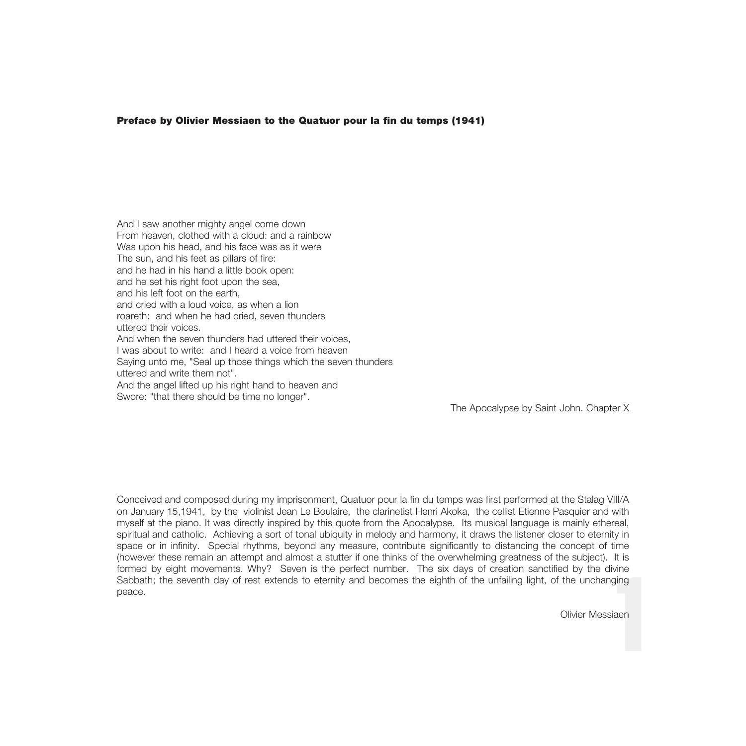#### Preface by Olivier Messiaen to the Quatuor pour la fin du temps (1941)

And I saw another mighty angel come down From heaven, clothed with a cloud: and a rainbow Was upon his head, and his face was as it were The sun, and his feet as pillars of fire: and he had in his hand a little book open: and he set his right foot upon the sea, and his left foot on the earth and cried with a loud voice, as when a lion roareth: and when he had cried, seven thunders uttered their voices. And when the seven thunders had uttered their voices I was about to write: and I heard a voice from heaven Saying unto me, "Seal up those things which the seven thunders uttered and write them not". And the angel lifted up his right hand to heaven and Swore: "that there should be time no longer".

The Apocalypse by Saint John. Chapter X

1 Conceived and composed during my imprisonment, Quatuor pour la fin du temps was first performed at the Stalag VIII/A on January 15,1941, by the violinist Jean Le Boulaire, the clarinetist Henri Akoka, the cellist Etienne Pasquier and with myself at the piano. It was directly inspired by this quote from the Apocalypse. Its musical language is mainly ethereal, spiritual and catholic. Achieving a sort of tonal ubiquity in melody and harmony, it draws the listener closer to eternity in space or in infinity. Special rhythms, beyond any measure, contribute significantly to distancing the concept of time (however these remain an attempt and almost a stutter if one thinks of the overwhelming greatness of the subject). It is formed by eight movements. Why? Seven is the perfect number. The six days of creation sanctified by the divine Sabbath; the seventh day of rest extends to eternity and becomes the eighth of the unfailing light, of the unchanging peace.

Olivier Messiaen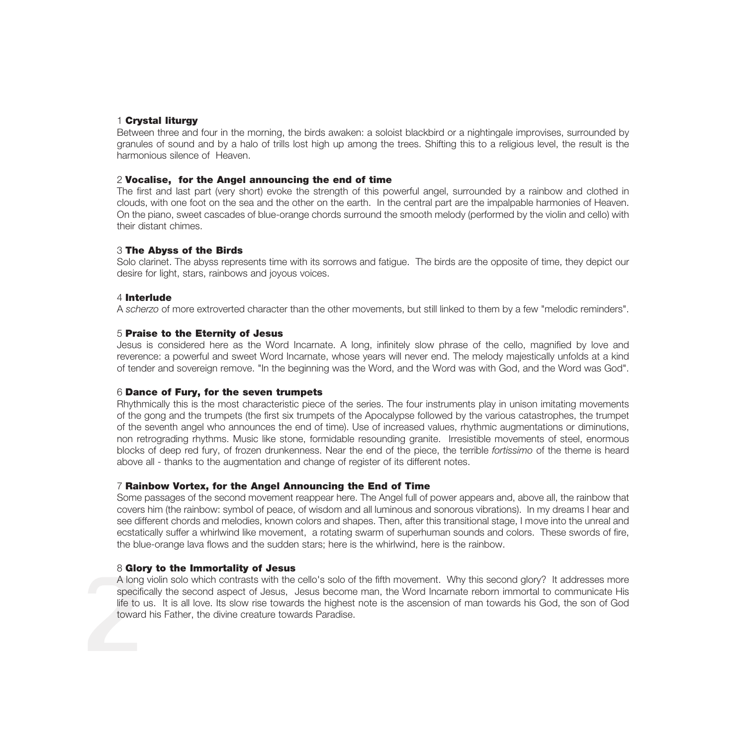# 1 Crystal liturgy

Between three and four in the morning, the birds awaken: a soloist blackbird or a nightingale improvises, surrounded by granules of sound and by a halo of trills lost high up among the trees. Shifting this to a religious level, the result is the harmonious silence of Heaven.

### 2 Vocalise, for the Angel announcing the end of time

The first and last part (very short) evoke the strength of this powerful angel, surrounded by a rainbow and clothed in clouds, with one foot on the sea and the other on the earth. In the central part are the impalpable harmonies of Heaven. On the piano, sweet cascades of blue-orange chords surround the smooth melody (performed by the violin and cello) with their distant chimes.

#### 3 The Abyss of the Birds

Solo clarinet. The abyss represents time with its sorrows and fatigue. The birds are the opposite of time, they depict our desire for light, stars, rainbows and joyous voices.

## 4 Interlude

A *scherzo* of more extroverted character than the other movements, but still linked to them by a few "melodic reminders".

## 5 Praise to the Eternity of Jesus

Jesus is considered here as the Word Incarnate. A long, infinitely slow phrase of the cello, magnified by love and reverence: a powerful and sweet Word Incarnate, whose years will never end. The melody majestically unfolds at a kind of tender and sovereign remove. "In the beginning was the Word, and the Word was with God, and the Word was God".

## 6 Dance of Fury, for the seven trumpets

Rhythmically this is the most characteristic piece of the series. The four instruments play in unison imitating movements of the gong and the trumpets (the first six trumpets of the Apocalypse followed by the various catastrophes, the trumpet of the seventh angel who announces the end of time). Use of increased values, rhythmic augmentations or diminutions, non retrograding rhythms. Music like stone, formidable resounding granite. Irresistible movements of steel, enormous blocks of deep red fury, of frozen drunkenness. Near the end of the piece, the terrible *fortissimo* of the theme is heard above all - thanks to the augmentation and change of register of its different notes.

# 7 Rainbow Vortex, for the Angel Announcing the End of Time

Some passages of the second movement reappear here. The Angel full of power appears and, above all, the rainbow that covers him (the rainbow: symbol of peace, of wisdom and all luminous and sonorous vibrations). In my dreams I hear and see different chords and melodies, known colors and shapes. Then, after this transitional stage, I move into the unreal and ecstatically suffer a whirlwind like movement, a rotating swarm of superhuman sounds and colors. These swords of fire, the blue-orange lava flows and the sudden stars; here is the whirlwind, here is the rainbow.

# 8 Glory to the Immortality of Jesus

A long<br>specifii<br>life to i<br>toward A long violin solo which contrasts with the cello's solo of the fifth movement. Why this second glory? It addresses more specifically the second aspect of Jesus, Jesus become man, the Word Incarnate reborn immortal to communicate His life to us. It is all love. Its slow rise towards the highest note is the ascension of man towards his God, the son of God toward his Father, the divine creature towards Paradise.